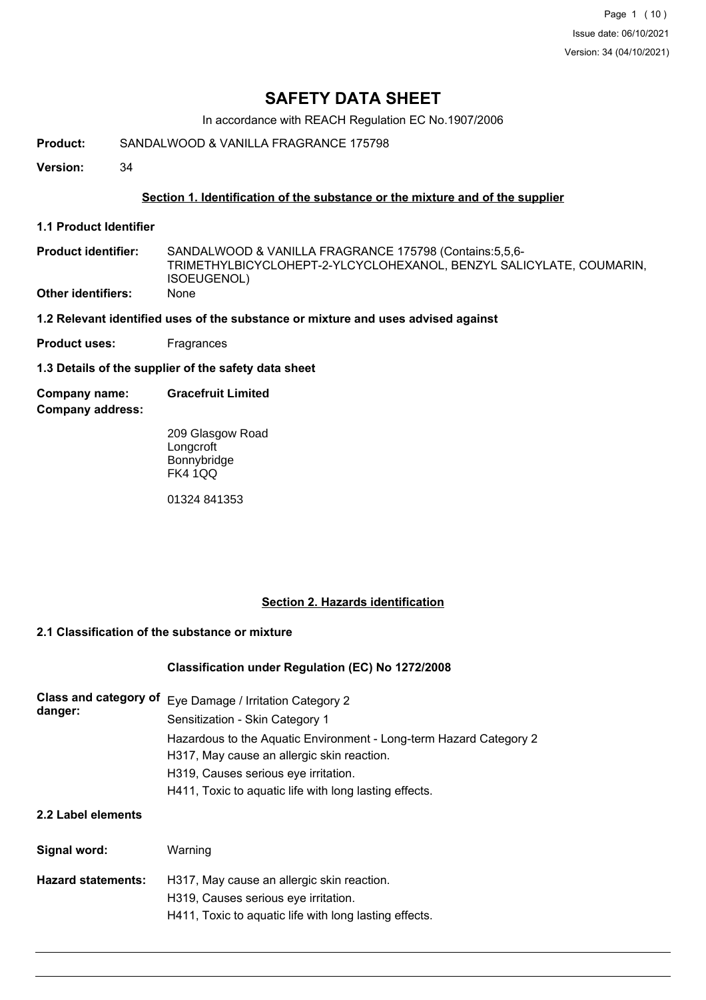Page 1 (10) Issue date: 06/10/2021 Version: 34 (04/10/2021)

# **SAFETY DATA SHEET**

In accordance with REACH Regulation EC No.1907/2006

**Product:** SANDALWOOD & VANILLA FRAGRANCE 175798

**Version:** 34

## **Section 1. Identification of the substance or the mixture and of the supplier**

**1.1 Product Identifier**

SANDALWOOD & VANILLA FRAGRANCE 175798 (Contains:5,5,6- TRIMETHYLBICYCLOHEPT-2-YLCYCLOHEXANOL, BENZYL SALICYLATE, COUMARIN, ISOEUGENOL) **Product identifier: Other identifiers:** None

- **1.2 Relevant identified uses of the substance or mixture and uses advised against**
- **Product uses:** Fragrances

**1.3 Details of the supplier of the safety data sheet**

**Company address: Company name: Gracefruit Limited**

> 209 Glasgow Road **Longcroft** Bonnybridge FK4 1QQ

01324 841353

## **Section 2. Hazards identification**

# **2.1 Classification of the substance or mixture**

#### **Classification under Regulation (EC) No 1272/2008**

| Class and category of<br>danger: | Eye Damage / Irritation Category 2<br>Sensitization - Skin Category 1                                            |  |  |  |  |
|----------------------------------|------------------------------------------------------------------------------------------------------------------|--|--|--|--|
|                                  | Hazardous to the Aquatic Environment - Long-term Hazard Category 2<br>H317, May cause an allergic skin reaction. |  |  |  |  |
|                                  | H319, Causes serious eye irritation.                                                                             |  |  |  |  |
|                                  | H411, Toxic to aquatic life with long lasting effects.                                                           |  |  |  |  |
| 2.2 Label elements               |                                                                                                                  |  |  |  |  |
| Signal word:                     | Warning                                                                                                          |  |  |  |  |
| <b>Hazard statements:</b>        | H317, May cause an allergic skin reaction.                                                                       |  |  |  |  |
|                                  | H319, Causes serious eye irritation.                                                                             |  |  |  |  |
|                                  | H411, Toxic to aguatic life with long lasting effects.                                                           |  |  |  |  |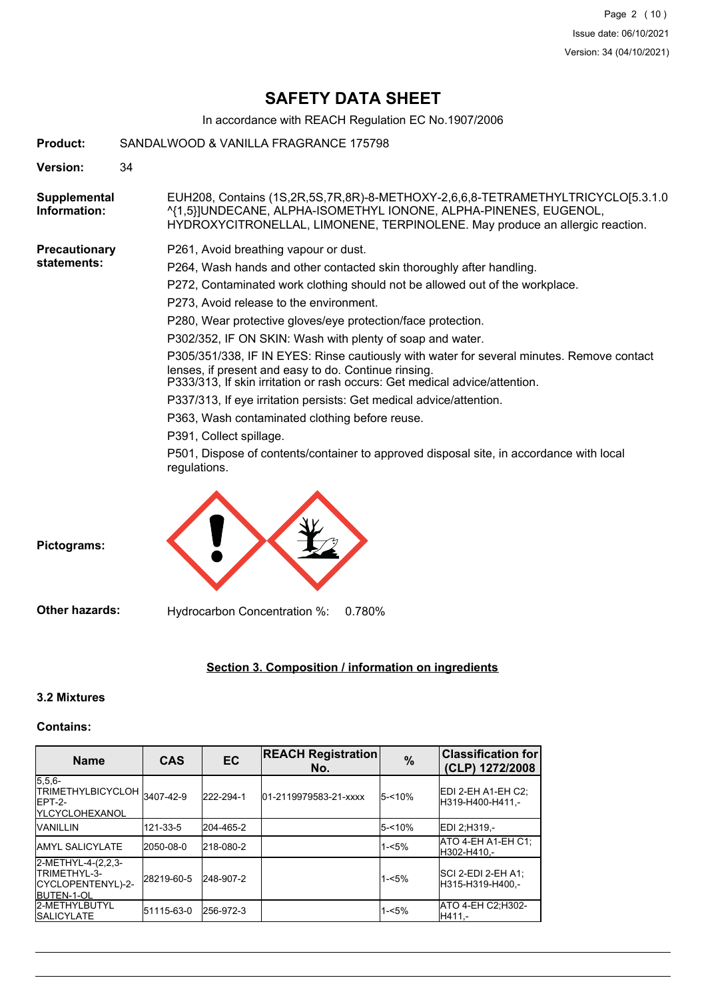# **SAFETY DATA SHEET**

In accordance with REACH Regulation EC No.1907/2006

| <b>Product:</b>              | SANDALWOOD & VANILLA FRAGRANCE 175798                                                                                                                                                                                               |  |  |  |  |
|------------------------------|-------------------------------------------------------------------------------------------------------------------------------------------------------------------------------------------------------------------------------------|--|--|--|--|
| Version:                     | 34                                                                                                                                                                                                                                  |  |  |  |  |
| Supplemental<br>Information: | EUH208, Contains (1S,2R,5S,7R,8R)-8-METHOXY-2,6,6,8-TETRAMETHYLTRICYCLO[5.3.1.0<br>^{1,5}]UNDECANE, ALPHA-ISOMETHYL IONONE, ALPHA-PINENES, EUGENOL,<br>HYDROXYCITRONELLAL, LIMONENE, TERPINOLENE. May produce an allergic reaction. |  |  |  |  |
| Precautionary                | P261, Avoid breathing vapour or dust.                                                                                                                                                                                               |  |  |  |  |
| statements:                  | P264, Wash hands and other contacted skin thoroughly after handling.                                                                                                                                                                |  |  |  |  |
|                              | P272, Contaminated work clothing should not be allowed out of the workplace.                                                                                                                                                        |  |  |  |  |
|                              | P273, Avoid release to the environment.                                                                                                                                                                                             |  |  |  |  |
|                              | P280, Wear protective gloves/eye protection/face protection.                                                                                                                                                                        |  |  |  |  |
|                              | P302/352, IF ON SKIN: Wash with plenty of soap and water.                                                                                                                                                                           |  |  |  |  |
|                              | P305/351/338, IF IN EYES: Rinse cautiously with water for several minutes. Remove contact<br>lenses, if present and easy to do. Continue rinsing.<br>P333/313, If skin irritation or rash occurs: Get medical advice/attention.     |  |  |  |  |
|                              | P337/313, If eye irritation persists: Get medical advice/attention.                                                                                                                                                                 |  |  |  |  |
|                              | P363, Wash contaminated clothing before reuse.                                                                                                                                                                                      |  |  |  |  |
|                              | P391, Collect spillage.                                                                                                                                                                                                             |  |  |  |  |
|                              | P501, Dispose of contents/container to approved disposal site, in accordance with local<br>regulations.                                                                                                                             |  |  |  |  |
|                              |                                                                                                                                                                                                                                     |  |  |  |  |
|                              |                                                                                                                                                                                                                                     |  |  |  |  |
|                              |                                                                                                                                                                                                                                     |  |  |  |  |

**Pictograms:**

**Other hazards:** Hydrocarbon Concentration %: 0.780%

# **Section 3. Composition / information on ingredients**

# **3.2 Mixtures**

# **Contains:**

| <b>Name</b>                                                                     | <b>CAS</b> | <b>EC</b> | <b>REACH Registration</b><br>No. | $\%$      | <b>Classification for</b><br>(CLP) 1272/2008   |
|---------------------------------------------------------------------------------|------------|-----------|----------------------------------|-----------|------------------------------------------------|
| $5.5.6-$<br>TRIMETHYLBICYCLOH 3407-42-9<br>IEPT-2-<br><b>IYLCYCLOHEXANOL</b>    |            | 222-294-1 | 01-2119979583-21-xxxx            | $5 - 10%$ | <b>IEDI 2-EH A1-EH C2:</b><br>H319-H400-H411.- |
| <b>VANILLIN</b>                                                                 | 121-33-5   | 204-465-2 |                                  | $5 - 10%$ | EDI 2:H319 .-                                  |
| <b>JAMYL SALICYLATE</b>                                                         | l2050-08-0 | 218-080-2 |                                  | $1 - 5%$  | ATO 4-EH A1-EH C1;<br>IH302-H410.-             |
| 2-METHYL-4-(2,2,3-<br>ITRIMETHYL-3-<br>ICYCLOPENTENYL)-2-<br><b>IBUTEN-1-OL</b> | 28219-60-5 | 248-907-2 |                                  | $1 - 5%$  | ISCI 2-EDI 2-EH A1:<br>IH315-H319-H400.-       |
| <b>2-METHYLBUTYL</b><br><b>ISALICYLATE</b>                                      | 51115-63-0 | 256-972-3 |                                  | $1 - 5%$  | ATO 4-EH C2;H302-<br>H411.-                    |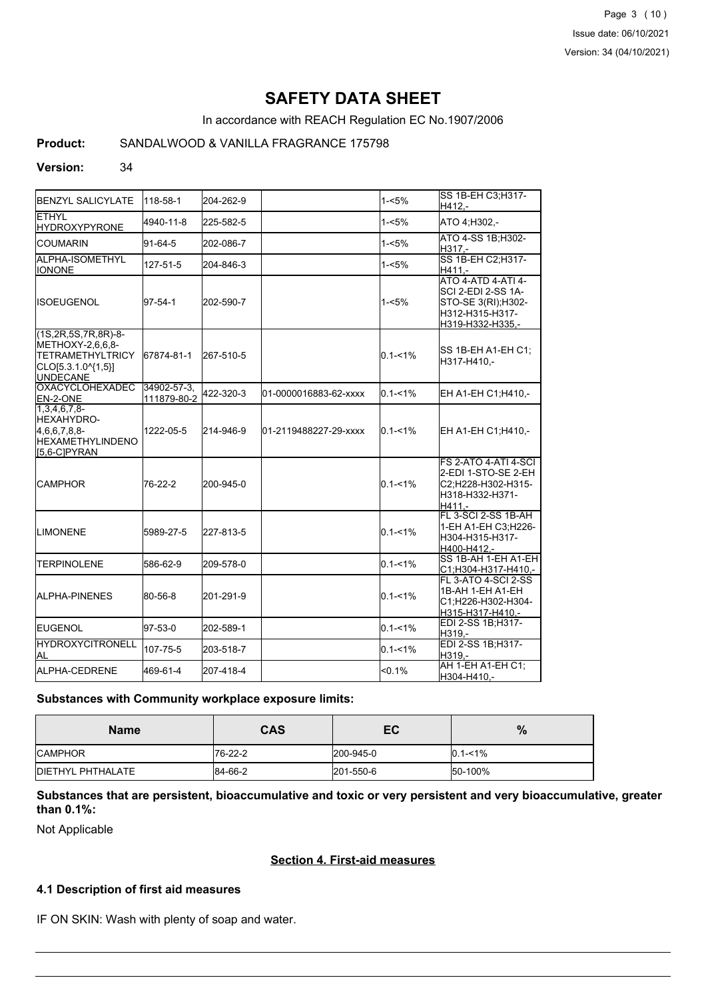Page 3 (10) Issue date: 06/10/2021 Version: 34 (04/10/2021)

# **SAFETY DATA SHEET**

In accordance with REACH Regulation EC No.1907/2006

## **Product:** SANDALWOOD & VANILLA FRAGRANCE 175798

#### **Version:** 34

| <b>BENZYL SALICYLATE</b>                                                                                             | 118-58-1                   | 204-262-9 |                       | $1 - 5%$    | SS 1B-EH C3:H317-<br>H412.-                                                                                   |
|----------------------------------------------------------------------------------------------------------------------|----------------------------|-----------|-----------------------|-------------|---------------------------------------------------------------------------------------------------------------|
| <b>ETHYL</b><br><b>HYDROXYPYRONE</b>                                                                                 | 4940-11-8                  | 225-582-5 |                       | $1 - 5%$    | ATO 4:H302,-                                                                                                  |
| <b>COUMARIN</b>                                                                                                      | 91-64-5                    | 202-086-7 |                       | 1-<5%       | ATO 4-SS 1B:H302-<br>H317,-                                                                                   |
| ALPHA-ISOMETHYL<br><b>IONONE</b>                                                                                     | 127-51-5                   | 204-846-3 |                       | $1 - 5%$    | SS 1B-EH C2; H317-<br>H411.-                                                                                  |
| IISOEUGENOL                                                                                                          | 97-54-1                    | 202-590-7 |                       | $1 - 5%$    | <b>ATO 4-ATD 4-ATI 4-</b><br>SCI 2-EDI 2-SS 1A-<br>STO-SE 3(RI); H302-<br>H312-H315-H317-<br>H319-H332-H335,- |
| $(1S, 2R, 5S, 7R, 8R) - 8 -$<br>METHOXY-2,6,6,8-<br><b>TETRAMETHYLTRICY</b><br>CLO[5.3.1.0^{1,5}]<br><b>UNDECANE</b> | 67874-81-1                 | 267-510-5 |                       | $0.1 - 1\%$ | SS 1B-EH A1-EH C1:<br>H317-H410,-                                                                             |
| <b>OXACYCLOHEXADEC</b><br><b>IEN-2-ONE</b>                                                                           | 34902-57-3.<br>111879-80-2 | 422-320-3 | 01-0000016883-62-xxxx | $0.1 - 1%$  | EH A1-EH C1;H410,-                                                                                            |
| $1,3,4,6,7,8-$<br><b>HEXAHYDRO-</b><br>$4,6,6,7,8,8$ -<br><b>IHEXAMETHYLINDENO</b><br>$[5,6-C]$ PYRAN                | 1222-05-5                  | 214-946-9 | 01-2119488227-29-xxxx | $0.1 - 1\%$ | EH A1-EH C1; H410,-                                                                                           |
| <b>CAMPHOR</b>                                                                                                       | 76-22-2                    | 200-945-0 |                       | $0.1 - 1\%$ | FS 2-ATO 4-ATI 4-SCI<br>2-EDI 1-STO-SE 2-EH<br>C2;H228-H302-H315-<br>H318-H332-H371-<br>H411.-                |
| <b>LIMONENE</b>                                                                                                      | 5989-27-5                  | 227-813-5 |                       | $0.1 - 1\%$ | FL 3-SCI 2-SS 1B-AH<br>1-EH A1-EH C3;H226-<br>H304-H315-H317-<br>H400-H412,-                                  |
| <b>TERPINOLENE</b>                                                                                                   | 586-62-9                   | 209-578-0 |                       | $0.1 - 1%$  | SS 1B-AH 1-EH A1-EH<br>C1;H304-H317-H410,-                                                                    |
| IALPHA-PINENES                                                                                                       | 80-56-8                    | 201-291-9 |                       | $0.1 - 1\%$ | FL 3-ATO 4-SCI 2-SS<br>1B-AH 1-EH A1-EH<br>C1;H226-H302-H304-<br>H315-H317-H410.-                             |
| <b>I</b> EUGENOL                                                                                                     | 97-53-0                    | 202-589-1 |                       | $0.1 - 1\%$ | EDI 2-SS 1B;H317-<br>H319,-                                                                                   |
| <b>HYDROXYCITRONELL</b><br>AL.                                                                                       | 107-75-5                   | 203-518-7 |                       | $0.1 - 1%$  | EDI 2-SS 1B; H317-<br>H319.-                                                                                  |
| ALPHA-CEDRENE                                                                                                        | 469-61-4                   | 207-418-4 |                       | < 0.1%      | AH 1-EH A1-EH C1;<br>H304-H410.-                                                                              |

#### **Substances with Community workplace exposure limits:**

| <b>Name</b>               | CAS     | EC        | $\%$        |
|---------------------------|---------|-----------|-------------|
| <b>ICAMPHOR</b>           | 76-22-2 | 200-945-0 | $0.1 - 1\%$ |
| <b>IDIETHYL PHTHALATE</b> | 84-66-2 | 201-550-6 | 50-100%     |

# **Substances that are persistent, bioaccumulative and toxic or very persistent and very bioaccumulative, greater than 0.1%:**

Not Applicable

#### **Section 4. First-aid measures**

#### **4.1 Description of first aid measures**

IF ON SKIN: Wash with plenty of soap and water.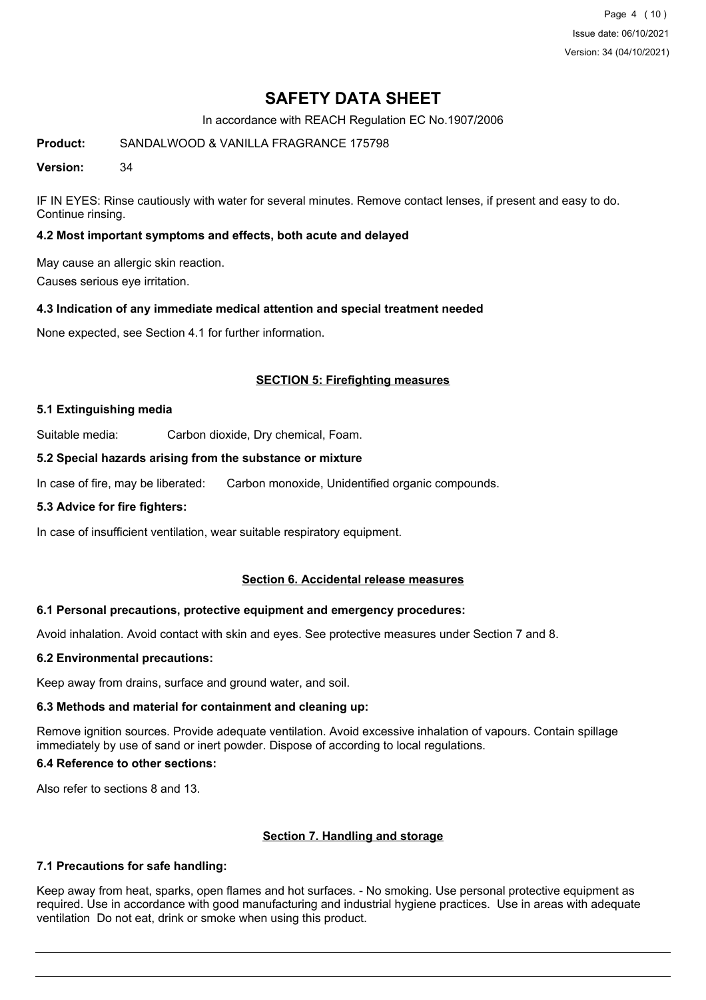Page 4 (10) Issue date: 06/10/2021 Version: 34 (04/10/2021)

# **SAFETY DATA SHEET**

In accordance with REACH Regulation EC No.1907/2006

**Product:** SANDALWOOD & VANILLA FRAGRANCE 175798

**Version:** 34

IF IN EYES: Rinse cautiously with water for several minutes. Remove contact lenses, if present and easy to do. Continue rinsing.

# **4.2 Most important symptoms and effects, both acute and delayed**

May cause an allergic skin reaction.

Causes serious eye irritation.

# **4.3 Indication of any immediate medical attention and special treatment needed**

None expected, see Section 4.1 for further information.

## **SECTION 5: Firefighting measures**

#### **5.1 Extinguishing media**

Suitable media: Carbon dioxide, Dry chemical, Foam.

## **5.2 Special hazards arising from the substance or mixture**

In case of fire, may be liberated: Carbon monoxide, Unidentified organic compounds.

#### **5.3 Advice for fire fighters:**

In case of insufficient ventilation, wear suitable respiratory equipment.

#### **Section 6. Accidental release measures**

#### **6.1 Personal precautions, protective equipment and emergency procedures:**

Avoid inhalation. Avoid contact with skin and eyes. See protective measures under Section 7 and 8.

#### **6.2 Environmental precautions:**

Keep away from drains, surface and ground water, and soil.

# **6.3 Methods and material for containment and cleaning up:**

Remove ignition sources. Provide adequate ventilation. Avoid excessive inhalation of vapours. Contain spillage immediately by use of sand or inert powder. Dispose of according to local regulations.

# **6.4 Reference to other sections:**

Also refer to sections 8 and 13.

# **Section 7. Handling and storage**

# **7.1 Precautions for safe handling:**

Keep away from heat, sparks, open flames and hot surfaces. - No smoking. Use personal protective equipment as required. Use in accordance with good manufacturing and industrial hygiene practices. Use in areas with adequate ventilation Do not eat, drink or smoke when using this product.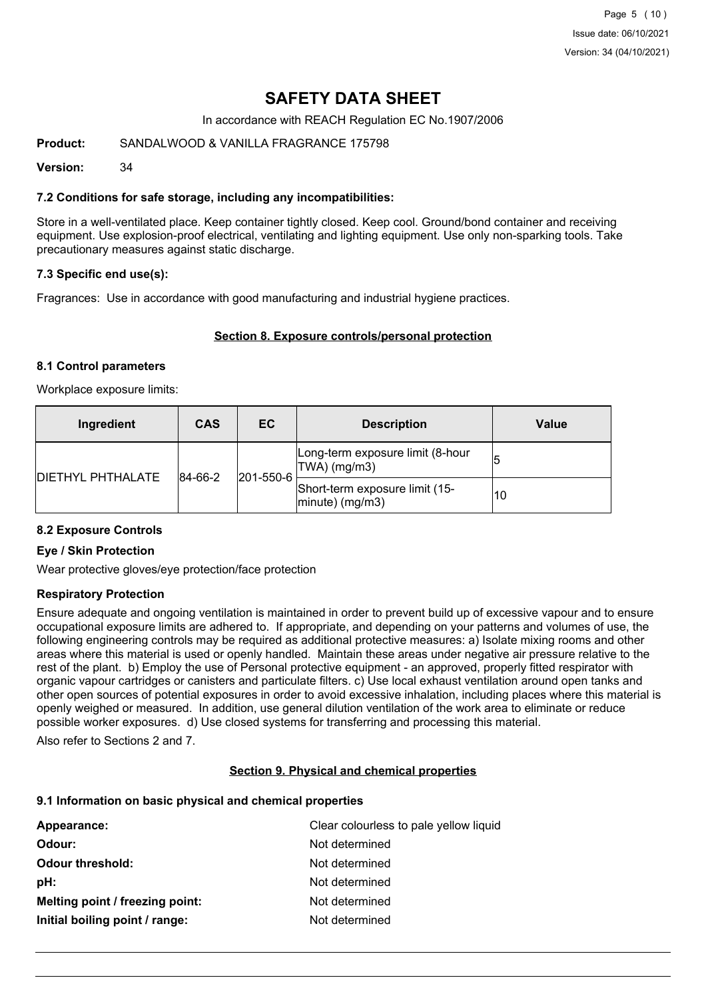Page 5 (10) Issue date: 06/10/2021 Version: 34 (04/10/2021)

# **SAFETY DATA SHEET**

In accordance with REACH Regulation EC No.1907/2006

## **Product:** SANDALWOOD & VANILLA FRAGRANCE 175798

**Version:** 34

## **7.2 Conditions for safe storage, including any incompatibilities:**

Store in a well-ventilated place. Keep container tightly closed. Keep cool. Ground/bond container and receiving equipment. Use explosion-proof electrical, ventilating and lighting equipment. Use only non-sparking tools. Take precautionary measures against static discharge.

## **7.3 Specific end use(s):**

Fragrances: Use in accordance with good manufacturing and industrial hygiene practices.

## **Section 8. Exposure controls/personal protection**

#### **8.1 Control parameters**

Workplace exposure limits:

| Ingredient               | <b>CAS</b> | EC        | <b>Description</b>                                   | <b>Value</b> |
|--------------------------|------------|-----------|------------------------------------------------------|--------------|
| <b>DIETHYL PHTHALATE</b> | 84-66-2    | 201-550-6 | Long-term exposure limit (8-hour<br>$ TWA $ (mg/m3)  |              |
|                          |            |           | Short-term exposure limit (15-<br>$ minute)$ (mg/m3) | 10           |

#### **8.2 Exposure Controls**

#### **Eye / Skin Protection**

Wear protective gloves/eye protection/face protection

#### **Respiratory Protection**

Ensure adequate and ongoing ventilation is maintained in order to prevent build up of excessive vapour and to ensure occupational exposure limits are adhered to. If appropriate, and depending on your patterns and volumes of use, the following engineering controls may be required as additional protective measures: a) Isolate mixing rooms and other areas where this material is used or openly handled. Maintain these areas under negative air pressure relative to the rest of the plant. b) Employ the use of Personal protective equipment - an approved, properly fitted respirator with organic vapour cartridges or canisters and particulate filters. c) Use local exhaust ventilation around open tanks and other open sources of potential exposures in order to avoid excessive inhalation, including places where this material is openly weighed or measured. In addition, use general dilution ventilation of the work area to eliminate or reduce possible worker exposures. d) Use closed systems for transferring and processing this material.

Also refer to Sections 2 and 7.

#### **Section 9. Physical and chemical properties**

#### **9.1 Information on basic physical and chemical properties**

| Appearance:                     | Clear colourless to pale yellow liquid |
|---------------------------------|----------------------------------------|
| Odour:                          | Not determined                         |
| <b>Odour threshold:</b>         | Not determined                         |
| pH:                             | Not determined                         |
| Melting point / freezing point: | Not determined                         |
| Initial boiling point / range:  | Not determined                         |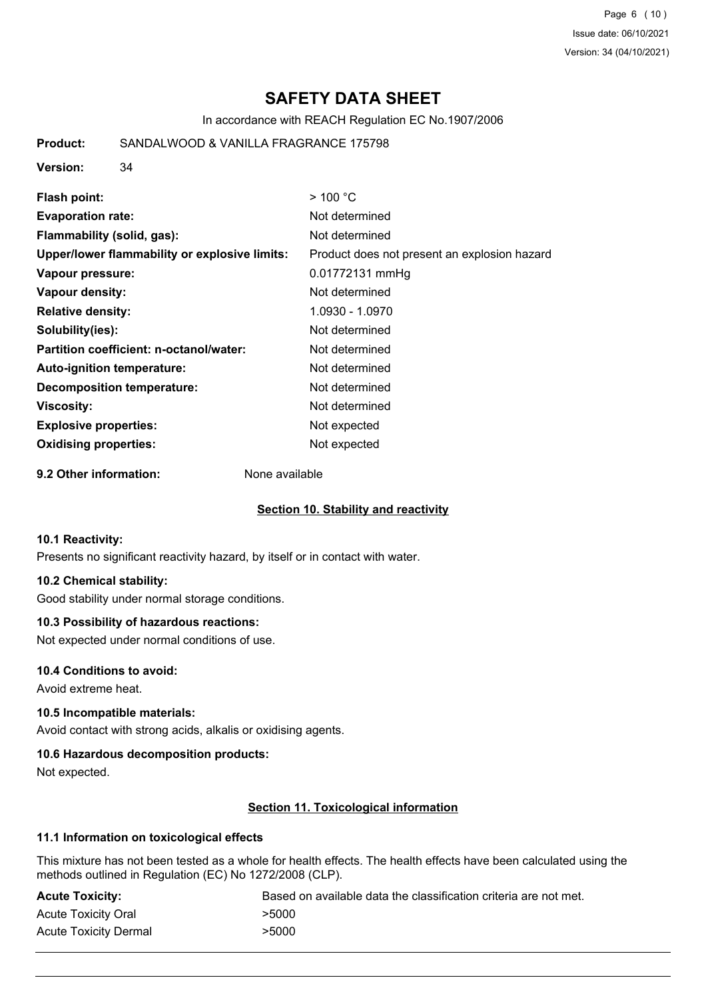Page 6 (10) Issue date: 06/10/2021 Version: 34 (04/10/2021)

# **SAFETY DATA SHEET**

In accordance with REACH Regulation EC No.1907/2006

**Product:** SANDALWOOD & VANILLA FRAGRANCE 175798

**Version:** 34

| Flash point:                                  | $>$ 100 °C                                   |
|-----------------------------------------------|----------------------------------------------|
| <b>Evaporation rate:</b>                      | Not determined                               |
| Flammability (solid, gas):                    | Not determined                               |
| Upper/lower flammability or explosive limits: | Product does not present an explosion hazard |
| Vapour pressure:                              | 0.01772131 mmHg                              |
| Vapour density:                               | Not determined                               |
| <b>Relative density:</b>                      | 1.0930 - 1.0970                              |
| Solubility(ies):                              | Not determined                               |
| Partition coefficient: n-octanol/water:       | Not determined                               |
| Auto-ignition temperature:                    | Not determined                               |
| Decomposition temperature:                    | Not determined                               |
| Viscosity:                                    | Not determined                               |
| <b>Explosive properties:</b>                  | Not expected                                 |
| <b>Oxidising properties:</b>                  | Not expected                                 |

**9.2 Other information:** None available

#### **Section 10. Stability and reactivity**

# **10.1 Reactivity:**

Presents no significant reactivity hazard, by itself or in contact with water.

# **10.2 Chemical stability:**

Good stability under normal storage conditions.

# **10.3 Possibility of hazardous reactions:**

Not expected under normal conditions of use.

#### **10.4 Conditions to avoid:**

Avoid extreme heat.

#### **10.5 Incompatible materials:**

Avoid contact with strong acids, alkalis or oxidising agents.

#### **10.6 Hazardous decomposition products:**

Not expected.

# **Section 11. Toxicological information**

# **11.1 Information on toxicological effects**

This mixture has not been tested as a whole for health effects. The health effects have been calculated using the methods outlined in Regulation (EC) No 1272/2008 (CLP).

| <b>Acute Toxicity:</b>       | Based on available data the classification criteria are not met. |
|------------------------------|------------------------------------------------------------------|
| <b>Acute Toxicity Oral</b>   | >5000                                                            |
| <b>Acute Toxicity Dermal</b> | >5000                                                            |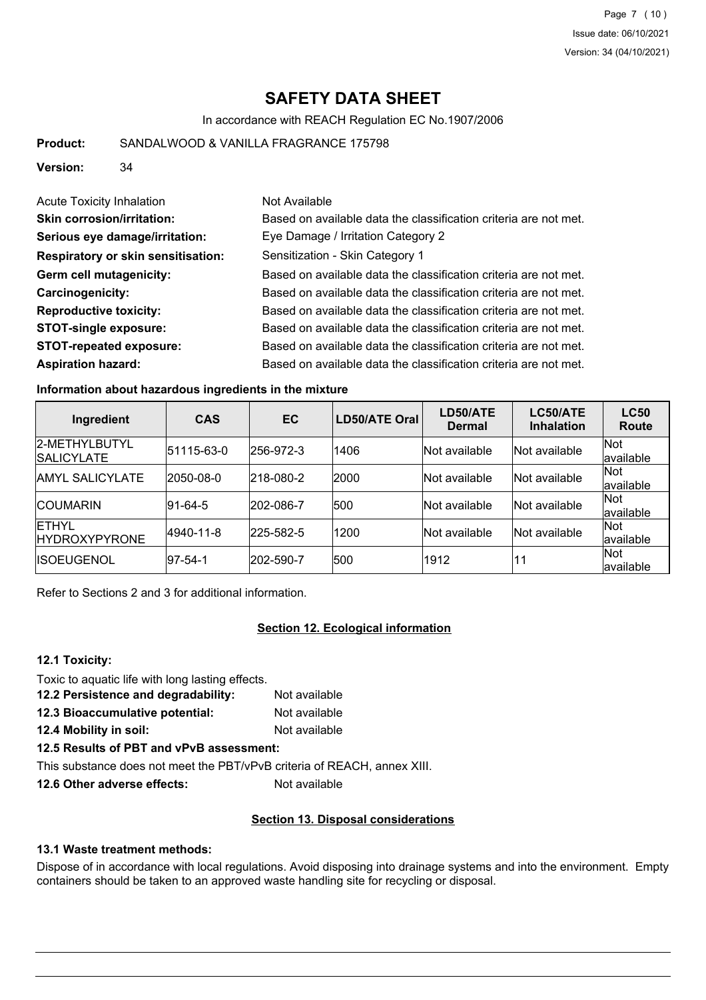# **SAFETY DATA SHEET**

In accordance with REACH Regulation EC No.1907/2006

**Product:** SANDALWOOD & VANILLA FRAGRANCE 175798

**Version:** 34

| Acute Toxicity Inhalation          | Not Available                                                    |
|------------------------------------|------------------------------------------------------------------|
| <b>Skin corrosion/irritation:</b>  | Based on available data the classification criteria are not met. |
| Serious eye damage/irritation:     | Eye Damage / Irritation Category 2                               |
| Respiratory or skin sensitisation: | Sensitization - Skin Category 1                                  |
| Germ cell mutagenicity:            | Based on available data the classification criteria are not met. |
| <b>Carcinogenicity:</b>            | Based on available data the classification criteria are not met. |
| <b>Reproductive toxicity:</b>      | Based on available data the classification criteria are not met. |
| <b>STOT-single exposure:</b>       | Based on available data the classification criteria are not met. |
| <b>STOT-repeated exposure:</b>     | Based on available data the classification criteria are not met. |
| <b>Aspiration hazard:</b>          | Based on available data the classification criteria are not met. |

#### **Information about hazardous ingredients in the mixture**

| Ingredient                             | <b>CAS</b>  | <b>EC</b> | LD50/ATE Oral | LD50/ATE<br><b>Dermal</b> | LC50/ATE<br><b>Inhalation</b> | <b>LC50</b><br>Route |
|----------------------------------------|-------------|-----------|---------------|---------------------------|-------------------------------|----------------------|
| 2-METHYLBUTYL<br><b>SALICYLATE</b>     | 51115-63-0  | 256-972-3 | 1406          | <b>Not available</b>      | Not available                 | Not<br>available     |
| <b>JAMYL SALICYLATE</b>                | 2050-08-0   | 218-080-2 | 2000          | <b>Not available</b>      | Not available                 | Not<br>available     |
| <b>ICOUMARIN</b>                       | $ 91-64-5 $ | 202-086-7 | 500           | <b>Not available</b>      | Not available                 | lNot<br>available    |
| <b>IETHYL</b><br><b>IHYDROXYPYRONE</b> | 4940-11-8   | 225-582-5 | 1200          | lNot available            | Not available                 | lNot<br>lavailable   |
| <b>IISOEUGENOL</b>                     | 197-54-1    | 202-590-7 | 500           | 1912                      | 11                            | lNot.<br>lavailable  |

Refer to Sections 2 and 3 for additional information.

# **Section 12. Ecological information**

#### **12.1 Toxicity:**

Toxic to aquatic life with long lasting effects.

- **12.2 Persistence and degradability:** Not available
- **12.3 Bioaccumulative potential:** Not available
- **12.4 Mobility in soil:** Not available
- **12.5 Results of PBT and vPvB assessment:**

This substance does not meet the PBT/vPvB criteria of REACH, annex XIII.

**12.6 Other adverse effects:** Not available

# **Section 13. Disposal considerations**

# **13.1 Waste treatment methods:**

Dispose of in accordance with local regulations. Avoid disposing into drainage systems and into the environment. Empty containers should be taken to an approved waste handling site for recycling or disposal.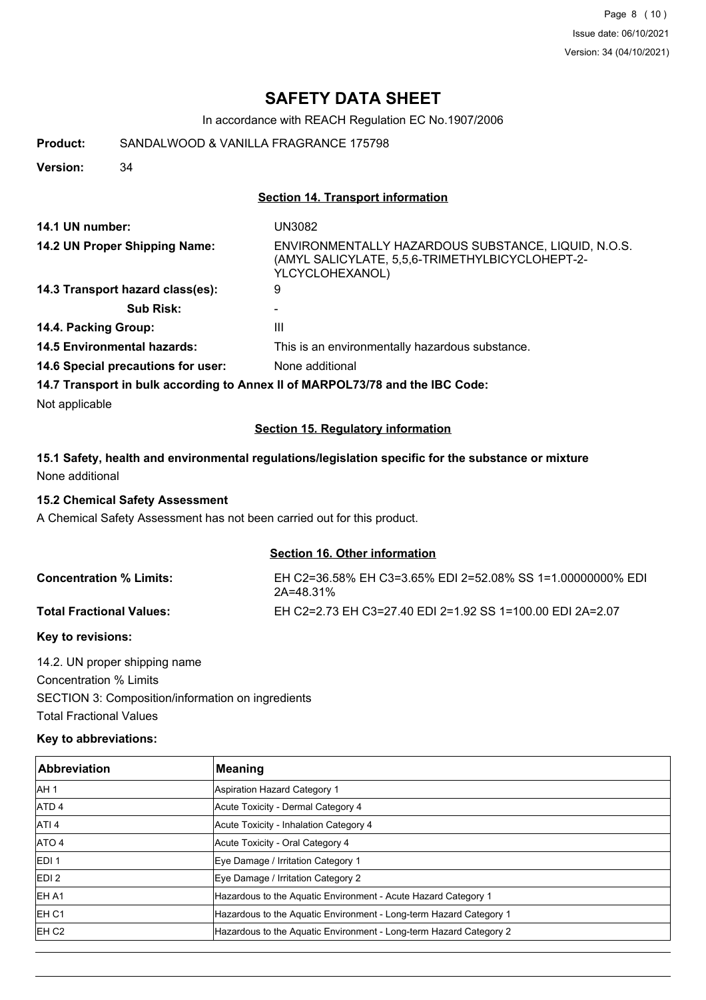Page 8 (10) Issue date: 06/10/2021 Version: 34 (04/10/2021)

# **SAFETY DATA SHEET**

In accordance with REACH Regulation EC No.1907/2006

**Product:** SANDALWOOD & VANILLA FRAGRANCE 175798

**Version:** 34

#### **Section 14. Transport information**

| 14.1 UN number:                                                               | UN3082                                                                                                                    |
|-------------------------------------------------------------------------------|---------------------------------------------------------------------------------------------------------------------------|
| 14.2 UN Proper Shipping Name:                                                 | ENVIRONMENTALLY HAZARDOUS SUBSTANCE, LIQUID, N.O.S.<br>(AMYL SALICYLATE, 5,5,6-TRIMETHYLBICYCLOHEPT-2-<br>YLCYCLOHEXANOL) |
| 14.3 Transport hazard class(es):                                              | 9                                                                                                                         |
| <b>Sub Risk:</b>                                                              | -                                                                                                                         |
| 14.4. Packing Group:                                                          | Ш                                                                                                                         |
| <b>14.5 Environmental hazards:</b>                                            | This is an environmentally hazardous substance.                                                                           |
| 14.6 Special precautions for user:                                            | None additional                                                                                                           |
| 14.7 Transport in bulk according to Annex II of MARPOL73/78 and the IBC Code: |                                                                                                                           |

Not applicable

# **Section 15. Regulatory information**

# **15.1 Safety, health and environmental regulations/legislation specific for the substance or mixture** None additional

### **15.2 Chemical Safety Assessment**

A Chemical Safety Assessment has not been carried out for this product.

#### **Section 16. Other information**

| <b>Concentration % Limits:</b>  | EH C2=36.58% EH C3=3.65% EDI 2=52.08% SS 1=1.00000000% EDI<br>2A=48.31% |
|---------------------------------|-------------------------------------------------------------------------|
| <b>Total Fractional Values:</b> | EH C2=2.73 EH C3=27.40 EDI 2=1.92 SS 1=100.00 EDI 2A=2.07               |

#### **Key to revisions:**

14.2. UN proper shipping name Concentration % Limits SECTION 3: Composition/information on ingredients Total Fractional Values

## **Key to abbreviations:**

| <b>Abbreviation</b> | Meaning                                                            |
|---------------------|--------------------------------------------------------------------|
| IAH 1               | <b>Aspiration Hazard Category 1</b>                                |
| ATD <sub>4</sub>    | Acute Toxicity - Dermal Category 4                                 |
| ATI <sub>4</sub>    | Acute Toxicity - Inhalation Category 4                             |
| ATO 4               | Acute Toxicity - Oral Category 4                                   |
| <b>IEDI1</b>        | Eye Damage / Irritation Category 1                                 |
| EDI <sub>2</sub>    | Eye Damage / Irritation Category 2                                 |
| IEH A1              | Hazardous to the Aquatic Environment - Acute Hazard Category 1     |
| IEH C1              | Hazardous to the Aquatic Environment - Long-term Hazard Category 1 |
| EH <sub>C2</sub>    | Hazardous to the Aquatic Environment - Long-term Hazard Category 2 |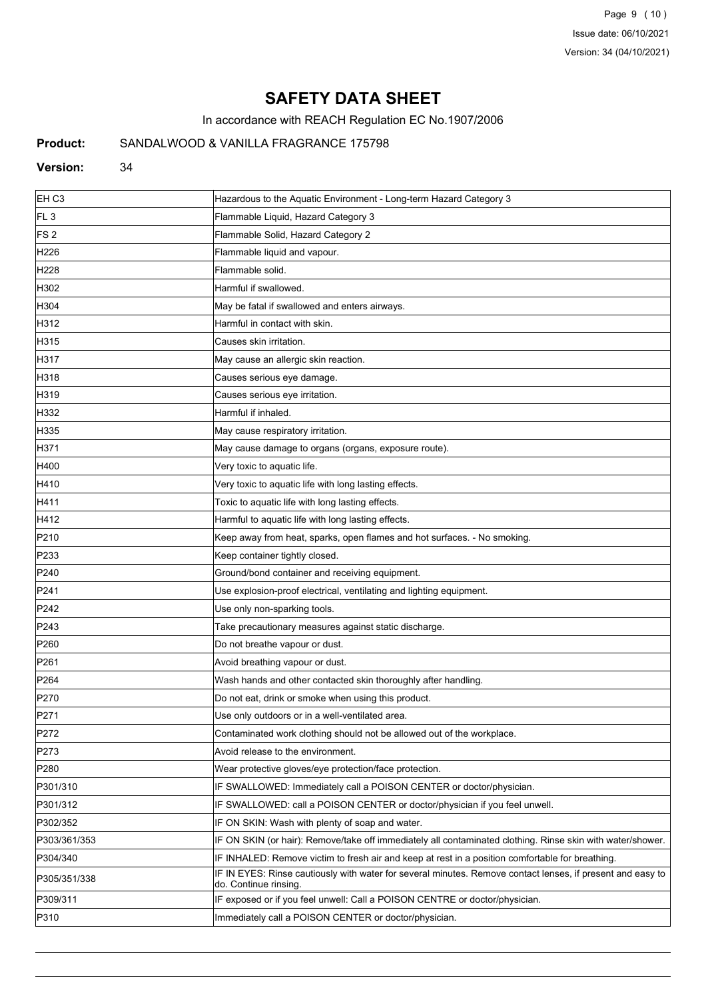Page 9 (10) Issue date: 06/10/2021 Version: 34 (04/10/2021)

# **SAFETY DATA SHEET**

In accordance with REACH Regulation EC No.1907/2006

# **Product:** SANDALWOOD & VANILLA FRAGRANCE 175798

#### **Version:** 34

| EH <sub>C3</sub> | Hazardous to the Aquatic Environment - Long-term Hazard Category 3                                                                  |
|------------------|-------------------------------------------------------------------------------------------------------------------------------------|
| FL <sub>3</sub>  | Flammable Liquid, Hazard Category 3                                                                                                 |
| FS <sub>2</sub>  | Flammable Solid, Hazard Category 2                                                                                                  |
| H226             | Flammable liquid and vapour.                                                                                                        |
| H <sub>228</sub> | Flammable solid.                                                                                                                    |
| H302             | Harmful if swallowed.                                                                                                               |
| H304             | May be fatal if swallowed and enters airways.                                                                                       |
| H312             | Harmful in contact with skin.                                                                                                       |
| H315             | Causes skin irritation.                                                                                                             |
| H317             | May cause an allergic skin reaction.                                                                                                |
| H318             | Causes serious eye damage.                                                                                                          |
| H319             | Causes serious eye irritation.                                                                                                      |
| H332             | Harmful if inhaled.                                                                                                                 |
| H335             | May cause respiratory irritation.                                                                                                   |
| H371             | May cause damage to organs (organs, exposure route).                                                                                |
| H400             | Very toxic to aquatic life.                                                                                                         |
| H410             | Very toxic to aquatic life with long lasting effects.                                                                               |
| H411             | Toxic to aquatic life with long lasting effects.                                                                                    |
| H412             | Harmful to aquatic life with long lasting effects.                                                                                  |
| P210             | Keep away from heat, sparks, open flames and hot surfaces. - No smoking.                                                            |
| P233             | Keep container tightly closed.                                                                                                      |
| P240             | Ground/bond container and receiving equipment.                                                                                      |
| P241             | Use explosion-proof electrical, ventilating and lighting equipment.                                                                 |
| P242             | Use only non-sparking tools.                                                                                                        |
| P243             | Take precautionary measures against static discharge.                                                                               |
| P <sub>260</sub> | Do not breathe vapour or dust.                                                                                                      |
| P261             | Avoid breathing vapour or dust.                                                                                                     |
| P <sub>264</sub> | Wash hands and other contacted skin thoroughly after handling.                                                                      |
| P270             | Do not eat, drink or smoke when using this product.                                                                                 |
| P271             | Use only outdoors or in a well-ventilated area.                                                                                     |
| P272             | Contaminated work clothing should not be allowed out of the workplace.                                                              |
| P273             | Avoid release to the environment.                                                                                                   |
| P280             | Wear protective gloves/eye protection/face protection.                                                                              |
| P301/310         | IF SWALLOWED: Immediately call a POISON CENTER or doctor/physician.                                                                 |
| P301/312         | IF SWALLOWED: call a POISON CENTER or doctor/physician if you feel unwell.                                                          |
| P302/352         | IF ON SKIN: Wash with plenty of soap and water.                                                                                     |
| P303/361/353     | IF ON SKIN (or hair): Remove/take off immediately all contaminated clothing. Rinse skin with water/shower.                          |
| P304/340         | IF INHALED: Remove victim to fresh air and keep at rest in a position comfortable for breathing.                                    |
| P305/351/338     | IF IN EYES: Rinse cautiously with water for several minutes. Remove contact lenses, if present and easy to<br>do. Continue rinsing. |
| P309/311         | IF exposed or if you feel unwell: Call a POISON CENTRE or doctor/physician.                                                         |
| P310             | Immediately call a POISON CENTER or doctor/physician.                                                                               |